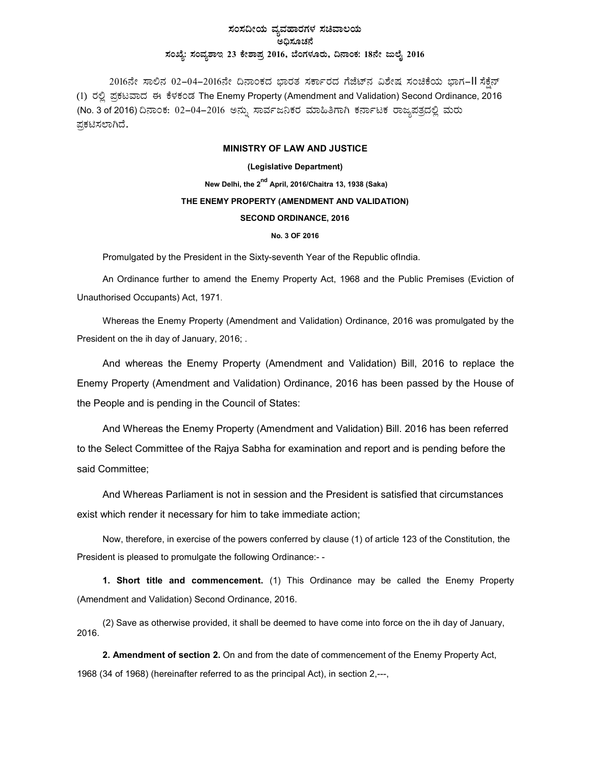## ಸಂಸದೀಯ ವ್ಯವಹಾರಗಳ ಸಚಿವಾಲಯ ಅಧಿಸೂಚನೆ  $x$ ಂಖ್ಯೆ: ಸಂವ್ಯಶಾಇ 23 ಕೇಶಾಪ್ರ 2016, ಬೆಂಗಳೂರು, ದಿನಾಂಕ: 18ನೇ ಜುಲೈ 2016

2016ನೇ ಸಾಲಿನ 02–04–2016ನೇ ದಿನಾಂಕದ ಭಾರತ ಸರ್ಕಾರದ ಗೆಜೆಟ್ನ ವಿಶೇಷ ಸಂಚಿಕೆಯ ಭಾಗ–II ಸೆಕ್ಷೆನ್ (1) ರಲ್ಲಿ ಪ್ರಕಟವಾದ ಈ ಕೆಳಕಂಡ The Enemy Property (Amendment and Validation) Second Ordinance, 2016 (No. 3 of 2016) ದಿನಾಂಕ: 02–04–2016 ಅನ್ನು ಸಾರ್ವಜನಿಕರ ಮಾಹಿತಿಗಾಗಿ ಕರ್ನಾಟಕ ರಾಜ್ಯಪತ್ರದಲ್ಲಿ ಮರು ಪಕಟಿಸಲಾಗಿದೆ.

## MINISTRY OF LAW AND JUSTICE

(Legislative Department) New Delhi, the 2<sup>nd</sup> April, 2016/Chaitra 13, 1938 (Saka) THE ENEMY PROPERTY (AMENDMENT AND VALIDATION) SECOND ORDINANCE, 2016 No. 3 OF 2016

Promulgated by the President in the Sixty-seventh Year of the Republic ofIndia.

An Ordinance further to amend the Enemy Property Act, 1968 and the Public Premises (Eviction of Unauthorised Occupants) Act, 1971.

Whereas the Enemy Property (Amendment and Validation) Ordinance, 2016 was promulgated by the President on the ih day of January, 2016; .

And whereas the Enemy Property (Amendment and Validation) Bill, 2016 to replace the Enemy Property (Amendment and Validation) Ordinance, 2016 has been passed by the House of the People and is pending in the Council of States:

And Whereas the Enemy Property (Amendment and Validation) Bill. 2016 has been referred to the Select Committee of the Rajya Sabha for examination and report and is pending before the said Committee;

And Whereas Parliament is not in session and the President is satisfied that circumstances exist which render it necessary for him to take immediate action;

Now, therefore, in exercise of the powers conferred by clause (1) of article 123 of the Constitution, the President is pleased to promulgate the following Ordinance:- -

1. Short title and commencement. (1) This Ordinance may be called the Enemy Property (Amendment and Validation) Second Ordinance, 2016.

(2) Save as otherwise provided, it shall be deemed to have come into force on the ih day of January, 2016.

2. Amendment of section 2. On and from the date of commencement of the Enemy Property Act, 1968 (34 of 1968) (hereinafter referred to as the principal Act), in section 2,---,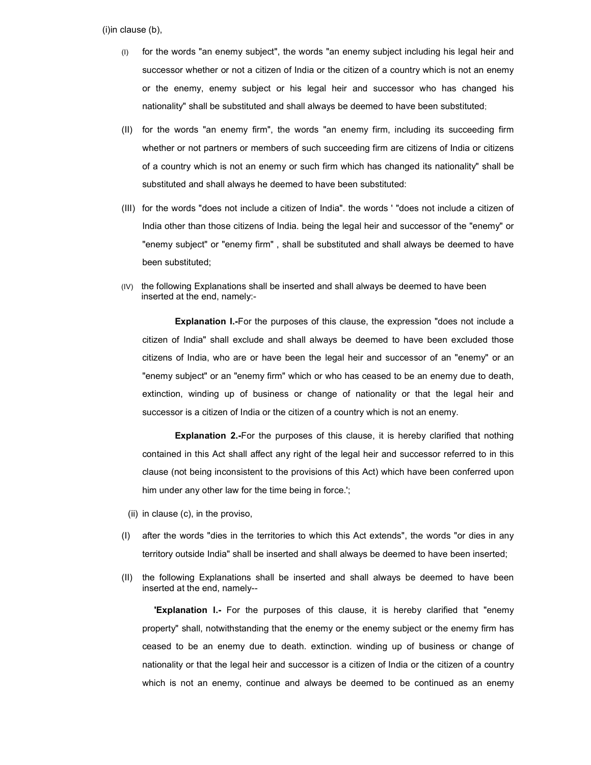$(i)$  in clause  $(b)$ ,

- (I) for the words "an enemy subject", the words "an enemy subject including his legal heir and successor whether or not a citizen of India or the citizen of a country which is not an enemy or the enemy, enemy subject or his legal heir and successor who has changed his nationality" shall be substituted and shall always be deemed to have been substituted;
- (II) for the words "an enemy firm", the words "an enemy firm, including its succeeding firm whether or not partners or members of such succeeding firm are citizens of India or citizens of a country which is not an enemy or such firm which has changed its nationality" shall be substituted and shall always he deemed to have been substituted:
- (III) for the words "does not include a citizen of India". the words ' "does not include a citizen of India other than those citizens of India. being the legal heir and successor of the "enemy" or "enemy subject" or "enemy firm" , shall be substituted and shall always be deemed to have been substituted;
- (IV) the following Explanations shall be inserted and shall always be deemed to have been inserted at the end, namely:-

Explanation I.-For the purposes of this clause, the expression "does not include a citizen of India" shall exclude and shall always be deemed to have been excluded those citizens of India, who are or have been the legal heir and successor of an "enemy" or an "enemy subject" or an "enemy firm" which or who has ceased to be an enemy due to death, extinction, winding up of business or change of nationality or that the legal heir and successor is a citizen of India or the citizen of a country which is not an enemy.

Explanation 2.-For the purposes of this clause, it is hereby clarified that nothing contained in this Act shall affect any right of the legal heir and successor referred to in this clause (not being inconsistent to the provisions of this Act) which have been conferred upon him under any other law for the time being in force.';

- (ii) in clause (c), in the proviso,
- (I) after the words "dies in the territories to which this Act extends", the words "or dies in any territory outside India" shall be inserted and shall always be deemed to have been inserted;
- (II) the following Explanations shall be inserted and shall always be deemed to have been inserted at the end, namely--

**Explanation I.-** For the purposes of this clause, it is hereby clarified that "enemy property" shall, notwithstanding that the enemy or the enemy subject or the enemy firm has ceased to be an enemy due to death. extinction. winding up of business or change of nationality or that the legal heir and successor is a citizen of India or the citizen of a country which is not an enemy, continue and always be deemed to be continued as an enemy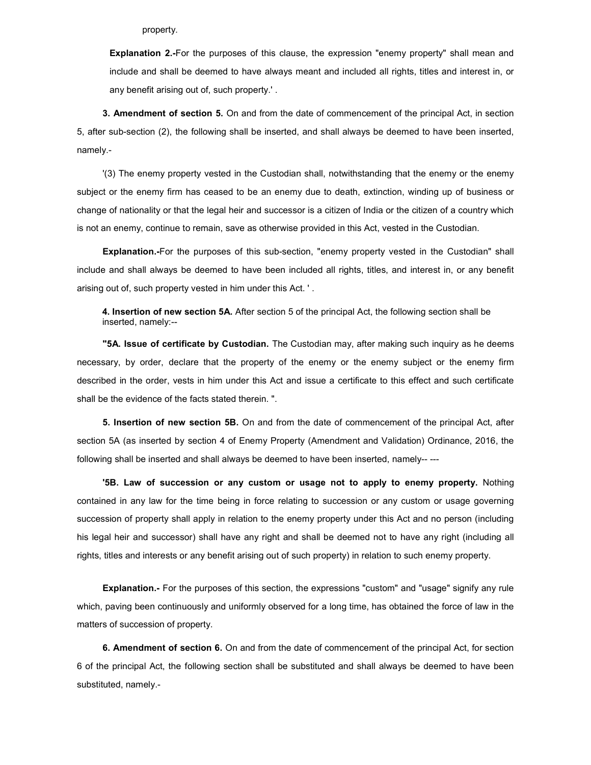property.

Explanation 2.-For the purposes of this clause, the expression "enemy property" shall mean and include and shall be deemed to have always meant and included all rights, titles and interest in, or any benefit arising out of, such property.' .

3. Amendment of section 5. On and from the date of commencement of the principal Act, in section 5, after sub-section (2), the following shall be inserted, and shall always be deemed to have been inserted, namely.-

'(3) The enemy property vested in the Custodian shall, notwithstanding that the enemy or the enemy subject or the enemy firm has ceased to be an enemy due to death, extinction, winding up of business or change of nationality or that the legal heir and successor is a citizen of India or the citizen of a country which is not an enemy, continue to remain, save as otherwise provided in this Act, vested in the Custodian.

Explanation.-For the purposes of this sub-section, "enemy property vested in the Custodian" shall include and shall always be deemed to have been included all rights, titles, and interest in, or any benefit arising out of, such property vested in him under this Act. ' .

4. Insertion of new section 5A. After section 5 of the principal Act, the following section shall be inserted, namely:--

"5A. Issue of certificate by Custodian. The Custodian may, after making such inquiry as he deems necessary, by order, declare that the property of the enemy or the enemy subject or the enemy firm described in the order, vests in him under this Act and issue a certificate to this effect and such certificate shall be the evidence of the facts stated therein. ".

5. Insertion of new section 5B. On and from the date of commencement of the principal Act, after section 5A (as inserted by section 4 of Enemy Property (Amendment and Validation) Ordinance, 2016, the following shall be inserted and shall always be deemed to have been inserted, namely-- ---

'5B. Law of succession or any custom or usage not to apply to enemy property. Nothing contained in any law for the time being in force relating to succession or any custom or usage governing succession of property shall apply in relation to the enemy property under this Act and no person (including his legal heir and successor) shall have any right and shall be deemed not to have any right (including all rights, titles and interests or any benefit arising out of such property) in relation to such enemy property.

Explanation.- For the purposes of this section, the expressions "custom" and "usage" signify any rule which, paving been continuously and uniformly observed for a long time, has obtained the force of law in the matters of succession of property.

6. Amendment of section 6. On and from the date of commencement of the principal Act, for section 6 of the principal Act, the following section shall be substituted and shall always be deemed to have been substituted, namely.-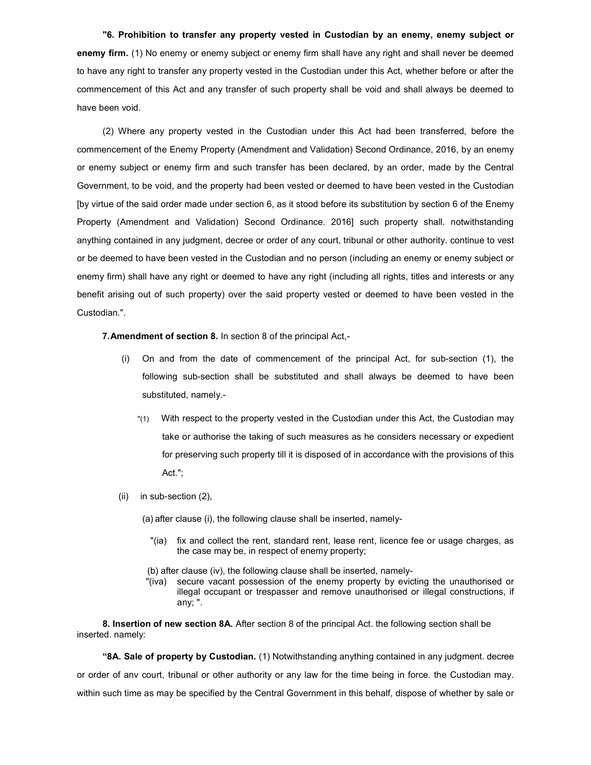"6. Prohibition to transfer any property vested in Custodian by an enemy, enemy subject or enemy firm. (1) No enemy or enemy subject or enemy firm shall have any right and shall never be deemed to have any right to transfer any property vested in the Custodian under this Act, whether before or after the commencement of this Act and any transfer of such property shall be void and shall always be deemed to have been void.

(2) Where any property vested in the Custodian under this Act had been transferred, before the commencement of the Enemy Property (Amendment and Validation) Second Ordinance, 2016, by an enemy or enemy subject or enemy firm and such transfer has been declared, by an order, made by the Central Government, to be void, and the property had been vested or deemed to have been vested in the Custodian [by virtue of the said order made under section 6, as it stood before its substitution by section 6 of the Enemy Property (Amendment and Validation) Second Ordinance. 2016] such property shall. notwithstanding anything contained in any judgment, decree or order of any court, tribunal or other authority. continue to vest or be deemed to have been vested in the Custodian and no person (including an enemy or enemy subject or enemy firm) shall have any right or deemed to have any right (including all rights, titles and interests or any benefit arising out of such property) over the said property vested or deemed to have been vested in the Custodian.".

7. Amendment of section 8. In section 8 of the principal Act,-

- (i) On and from the date of commencement of the principal Act, for sub-section (1), the following sub-section shall be substituted and shall always be deemed to have been substituted, namely.-
	- "(1) With respect to the property vested in the Custodian under this Act, the Custodian may take or authorise the taking of such measures as he considers necessary or expedient for preserving such property till it is disposed of in accordance with the provisions of this Act.";
- (ii) in sub-section (2),
	- (a) after clause (i), the following clause shall be inserted, namely-
		- "(ia) fix and collect the rent, standard rent, lease rent, licence fee or usage charges, as the case may be, in respect of enemy property;

(b) after clause (iv), the following clause shall be inserted, namely-

"(iva) secure vacant possession of the enemy property by evicting the unauthorised or illegal occupant or trespasser and remove unauthorised or illegal constructions, if any; ".

8. Insertion of new section 8A. After section 8 of the principal Act. the following section shall be inserted. namely:

"8A. Sale of property by Custodian. (1) Notwithstanding anything contained in any judgment. decree or order of anv court, tribunal or other authority or any law for the time being in force. the Custodian may. within such time as may be specified by the Central Government in this behalf, dispose of whether by sale or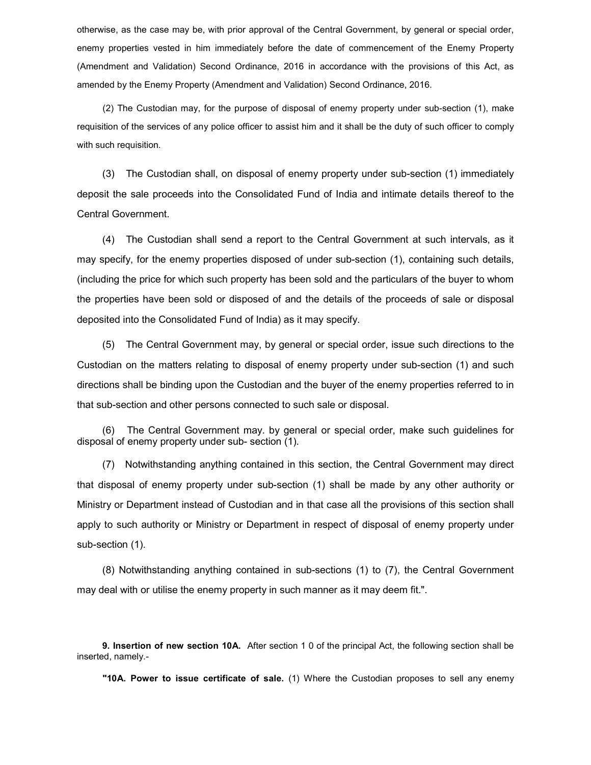otherwise, as the case may be, with prior approval of the Central Government, by general or special order, enemy properties vested in him immediately before the date of commencement of the Enemy Property (Amendment and Validation) Second Ordinance, 2016 in accordance with the provisions of this Act, as amended by the Enemy Property (Amendment and Validation) Second Ordinance, 2016.

(2) The Custodian may, for the purpose of disposal of enemy property under sub-section (1), make requisition of the services of any police officer to assist him and it shall be the duty of such officer to comply with such requisition.

(3) The Custodian shall, on disposal of enemy property under sub-section (1) immediately deposit the sale proceeds into the Consolidated Fund of India and intimate details thereof to the Central Government.

(4) The Custodian shall send a report to the Central Government at such intervals, as it may specify, for the enemy properties disposed of under sub-section (1), containing such details, (including the price for which such property has been sold and the particulars of the buyer to whom the properties have been sold or disposed of and the details of the proceeds of sale or disposal deposited into the Consolidated Fund of India) as it may specify.

(5) The Central Government may, by general or special order, issue such directions to the Custodian on the matters relating to disposal of enemy property under sub-section (1) and such directions shall be binding upon the Custodian and the buyer of the enemy properties referred to in that sub-section and other persons connected to such sale or disposal.

(6) The Central Government may. by general or special order, make such guidelines for disposal of enemy property under sub- section (1).

(7) Notwithstanding anything contained in this section, the Central Government may direct that disposal of enemy property under sub-section (1) shall be made by any other authority or Ministry or Department instead of Custodian and in that case all the provisions of this section shall apply to such authority or Ministry or Department in respect of disposal of enemy property under sub-section (1).

(8) Notwithstanding anything contained in sub-sections (1) to (7), the Central Government may deal with or utilise the enemy property in such manner as it may deem fit.".

9. Insertion of new section 10A. After section 1 0 of the principal Act, the following section shall be inserted, namely.-

"10A. Power to issue certificate of sale. (1) Where the Custodian proposes to sell any enemy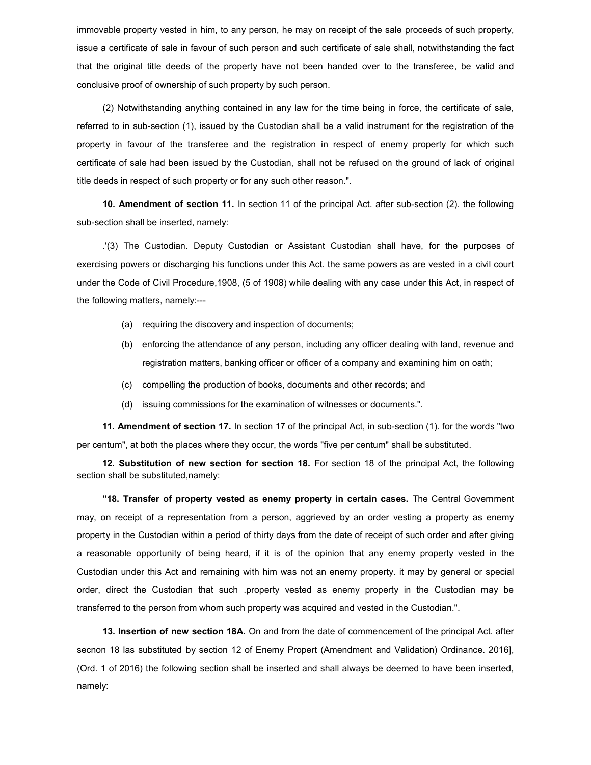immovable property vested in him, to any person, he may on receipt of the sale proceeds of such property, issue a certificate of sale in favour of such person and such certificate of sale shall, notwithstanding the fact that the original title deeds of the property have not been handed over to the transferee, be valid and conclusive proof of ownership of such property by such person.

(2) Notwithstanding anything contained in any law for the time being in force, the certificate of sale, referred to in sub-section (1), issued by the Custodian shall be a valid instrument for the registration of the property in favour of the transferee and the registration in respect of enemy property for which such certificate of sale had been issued by the Custodian, shall not be refused on the ground of lack of original title deeds in respect of such property or for any such other reason.".

10. Amendment of section 11. In section 11 of the principal Act. after sub-section (2). the following sub-section shall be inserted, namely:

.'(3) The Custodian. Deputy Custodian or Assistant Custodian shall have, for the purposes of exercising powers or discharging his functions under this Act. the same powers as are vested in a civil court under the Code of Civil Procedure,1908, (5 of 1908) while dealing with any case under this Act, in respect of the following matters, namely:---

- (a) requiring the discovery and inspection of documents;
- (b) enforcing the attendance of any person, including any officer dealing with land, revenue and registration matters, banking officer or officer of a company and examining him on oath;
- (c) compelling the production of books, documents and other records; and
- (d) issuing commissions for the examination of witnesses or documents.".

11. Amendment of section 17. In section 17 of the principal Act, in sub-section (1). for the words "two per centum", at both the places where they occur, the words "five per centum" shall be substituted.

12. Substitution of new section for section 18. For section 18 of the principal Act, the following section shall be substituted,namely:

"18. Transfer of property vested as enemy property in certain cases. The Central Government may, on receipt of a representation from a person, aggrieved by an order vesting a property as enemy property in the Custodian within a period of thirty days from the date of receipt of such order and after giving a reasonable opportunity of being heard, if it is of the opinion that any enemy property vested in the Custodian under this Act and remaining with him was not an enemy property. it may by general or special order, direct the Custodian that such .property vested as enemy property in the Custodian may be transferred to the person from whom such property was acquired and vested in the Custodian.".

13. Insertion of new section 18A. On and from the date of commencement of the principal Act. after secnon 18 las substituted by section 12 of Enemy Propert (Amendment and Validation) Ordinance. 2016], (Ord. 1 of 2016) the following section shall be inserted and shall always be deemed to have been inserted, namely: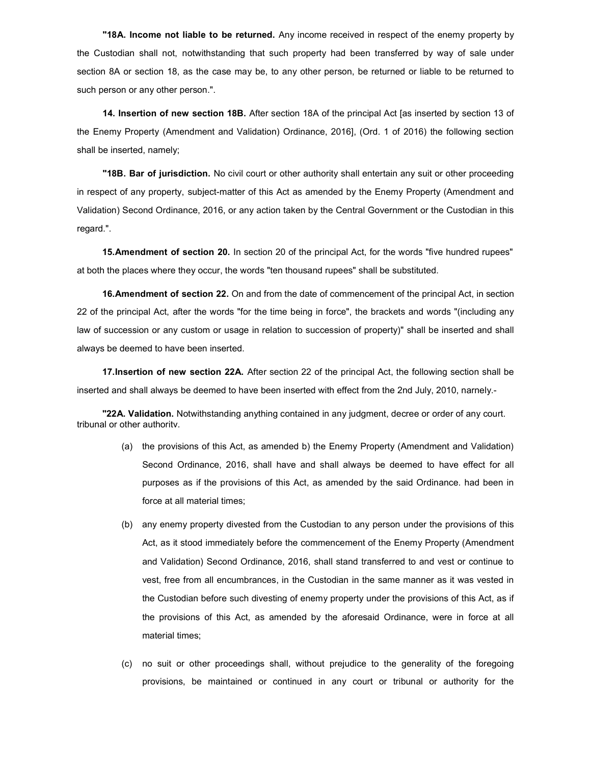"18A. Income not liable to be returned. Any income received in respect of the enemy property by the Custodian shall not, notwithstanding that such property had been transferred by way of sale under section 8A or section 18, as the case may be, to any other person, be returned or liable to be returned to such person or any other person.".

14. Insertion of new section 18B. After section 18A of the principal Act [as inserted by section 13 of the Enemy Property (Amendment and Validation) Ordinance, 2016], (Ord. 1 of 2016) the following section shall be inserted, namely;

"18B. Bar of jurisdiction. No civil court or other authority shall entertain any suit or other proceeding in respect of any property, subject-matter of this Act as amended by the Enemy Property (Amendment and Validation) Second Ordinance, 2016, or any action taken by the Central Government or the Custodian in this regard.".

15. Amendment of section 20. In section 20 of the principal Act, for the words "five hundred rupees" at both the places where they occur, the words "ten thousand rupees" shall be substituted.

16. Amendment of section 22. On and from the date of commencement of the principal Act, in section 22 of the principal Act, after the words "for the time being in force", the brackets and words "(including any law of succession or any custom or usage in relation to succession of property)" shall be inserted and shall always be deemed to have been inserted.

17. Insertion of new section 22A. After section 22 of the principal Act, the following section shall be inserted and shall always be deemed to have been inserted with effect from the 2nd July, 2010, narnely.-

"22A. Validation. Notwithstanding anything contained in any judgment, decree or order of any court. tribunal or other authoritv.

- (a) the provisions of this Act, as amended b) the Enemy Property (Amendment and Validation) Second Ordinance, 2016, shall have and shall always be deemed to have effect for all purposes as if the provisions of this Act, as amended by the said Ordinance. had been in force at all material times;
- (b) any enemy property divested from the Custodian to any person under the provisions of this Act, as it stood immediately before the commencement of the Enemy Property (Amendment and Validation) Second Ordinance, 2016, shall stand transferred to and vest or continue to vest, free from all encumbrances, in the Custodian in the same manner as it was vested in the Custodian before such divesting of enemy property under the provisions of this Act, as if the provisions of this Act, as amended by the aforesaid Ordinance, were in force at all material times;
- (c) no suit or other proceedings shall, without prejudice to the generality of the foregoing provisions, be maintained or continued in any court or tribunal or authority for the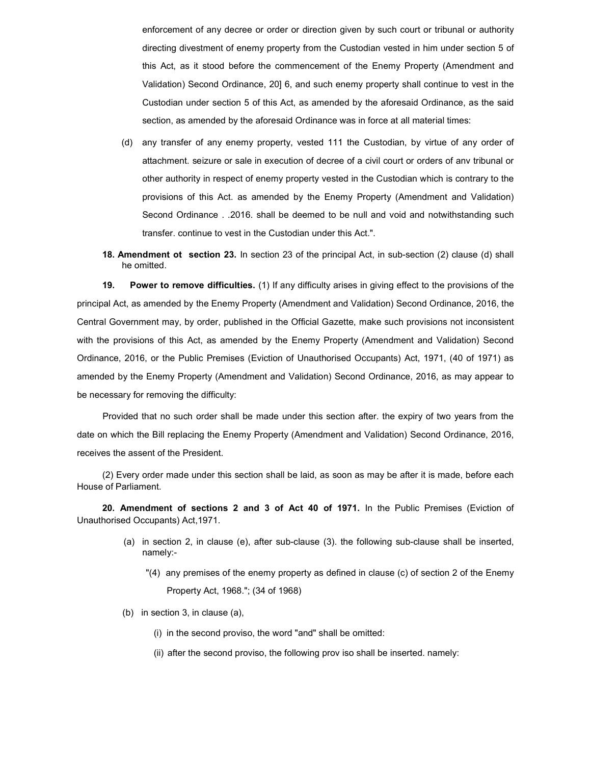enforcement of any decree or order or direction given by such court or tribunal or authority directing divestment of enemy property from the Custodian vested in him under section 5 of this Act, as it stood before the commencement of the Enemy Property (Amendment and Validation) Second Ordinance, 20] 6, and such enemy property shall continue to vest in the Custodian under section 5 of this Act, as amended by the aforesaid Ordinance, as the said section, as amended by the aforesaid Ordinance was in force at all material times:

- (d) any transfer of any enemy property, vested 111 the Custodian, by virtue of any order of attachment. seizure or sale in execution of decree of a civil court or orders of anv tribunal or other authority in respect of enemy property vested in the Custodian which is contrary to the provisions of this Act. as amended by the Enemy Property (Amendment and Validation) Second Ordinance . .2016. shall be deemed to be null and void and notwithstanding such transfer. continue to vest in the Custodian under this Act.".
- 18. Amendment ot section 23. In section 23 of the principal Act, in sub-section (2) clause (d) shall he omitted.

19. Power to remove difficulties. (1) If any difficulty arises in giving effect to the provisions of the principal Act, as amended by the Enemy Property (Amendment and Validation) Second Ordinance, 2016, the Central Government may, by order, published in the Official Gazette, make such provisions not inconsistent with the provisions of this Act, as amended by the Enemy Property (Amendment and Validation) Second Ordinance, 2016, or the Public Premises (Eviction of Unauthorised Occupants) Act, 1971, (40 of 1971) as amended by the Enemy Property (Amendment and Validation) Second Ordinance, 2016, as may appear to be necessary for removing the difficulty:

Provided that no such order shall be made under this section after. the expiry of two years from the date on which the Bill replacing the Enemy Property (Amendment and Validation) Second Ordinance, 2016, receives the assent of the President.

(2) Every order made under this section shall be laid, as soon as may be after it is made, before each House of Parliament.

20. Amendment of sections 2 and 3 of Act 40 of 1971. In the Public Premises (Eviction of Unauthorised Occupants) Act,1971.

- (a) in section 2, in clause (e), after sub-clause (3). the following sub-clause shall be inserted, namely:-
	- "(4) any premises of the enemy property as defined in clause (c) of section 2 of the Enemy Property Act, 1968."; (34 of 1968)
- (b) in section 3, in clause (a),
	- (i) in the second proviso, the word "and" shall be omitted:
	- (ii) after the second proviso, the following prov iso shall be inserted. namely: